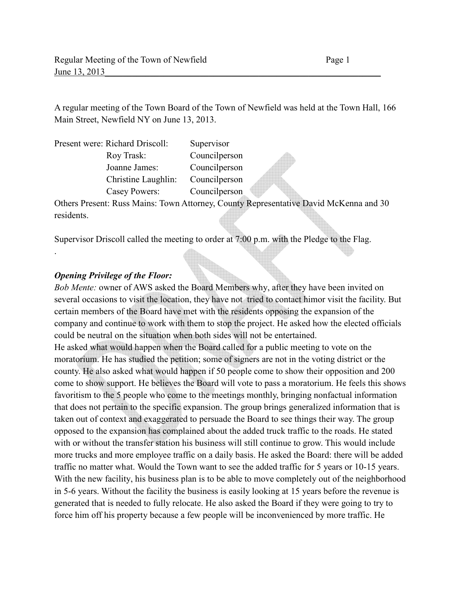A regular meeting of the Town Board of the Town of Newfield was held at the Town Hall, 166 Main Street, Newfield NY on June 13, 2013.

| Present were: Richard Driscoll: | Supervisor    |
|---------------------------------|---------------|
| Roy Trask:                      | Councilperson |
| Joanne James:                   | Councilperson |
| Christine Laughlin:             | Councilperson |
| Casey Powers:                   | Councilperson |

Others Present: Russ Mains: Town Attorney, County Representative David McKenna and 30 residents.

Supervisor Driscoll called the meeting to order at 7:00 p.m. with the Pledge to the Flag.

### *Opening Privilege of the Floor:*

.

*Bob Mente:* owner of AWS asked the Board Members why, after they have been invited on several occasions to visit the location, they have not tried to contact himor visit the facility. But certain members of the Board have met with the residents opposing the expansion of the company and continue to work with them to stop the project. He asked how the elected officials could be neutral on the situation when both sides will not be entertained. He asked what would happen when the Board called for a public meeting to vote on the moratorium. He has studied the petition; some of signers are not in the voting district or the county. He also asked what would happen if 50 people come to show their opposition and 200 come to show support. He believes the Board will vote to pass a moratorium. He feels this shows favoritism to the 5 people who come to the meetings monthly, bringing nonfactual information that does not pertain to the specific expansion. The group brings generalized information that is taken out of context and exaggerated to persuade the Board to see things their way. The group opposed to the expansion has complained about the added truck traffic to the roads. He stated with or without the transfer station his business will still continue to grow. This would include more trucks and more employee traffic on a daily basis. He asked the Board: there will be added traffic no matter what. Would the Town want to see the added traffic for 5 years or 10-15 years. With the new facility, his business plan is to be able to move completely out of the neighborhood in 5-6 years. Without the facility the business is easily looking at 15 years before the revenue is generated that is needed to fully relocate. He also asked the Board if they were going to try to force him off his property because a few people will be inconvenienced by more traffic. He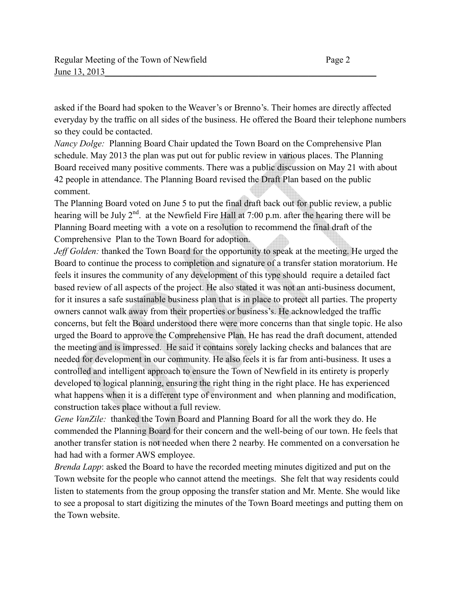asked if the Board had spoken to the Weaver's or Brenno's. Their homes are directly affected everyday by the traffic on all sides of the business. He offered the Board their telephone numbers so they could be contacted.

*Nancy Dolge:* Planning Board Chair updated the Town Board on the Comprehensive Plan schedule. May 2013 the plan was put out for public review in various places. The Planning Board received many positive comments. There was a public discussion on May 21 with about 42 people in attendance. The Planning Board revised the Draft Plan based on the public comment.

The Planning Board voted on June 5 to put the final draft back out for public review, a public hearing will be July  $2^{nd}$ . at the Newfield Fire Hall at 7:00 p.m. after the hearing there will be Planning Board meeting with a vote on a resolution to recommend the final draft of the Comprehensive Plan to the Town Board for adoption.

*Jeff Golden:* thanked the Town Board for the opportunity to speak at the meeting. He urged the Board to continue the process to completion and signature of a transfer station moratorium. He feels it insures the community of any development of this type should require a detailed fact based review of all aspects of the project. He also stated it was not an anti-business document, for it insures a safe sustainable business plan that is in place to protect all parties. The property owners cannot walk away from their properties or business's. He acknowledged the traffic concerns, but felt the Board understood there were more concerns than that single topic. He also urged the Board to approve the Comprehensive Plan. He has read the draft document, attended the meeting and is impressed. He said it contains sorely lacking checks and balances that are needed for development in our community. He also feels it is far from anti-business. It uses a controlled and intelligent approach to ensure the Town of Newfield in its entirety is properly developed to logical planning, ensuring the right thing in the right place. He has experienced what happens when it is a different type of environment and when planning and modification, construction takes place without a full review.

*Gene VanZile:* thanked the Town Board and Planning Board for all the work they do. He commended the Planning Board for their concern and the well-being of our town. He feels that another transfer station is not needed when there 2 nearby. He commented on a conversation he had had with a former AWS employee.

*Brenda Lapp*: asked the Board to have the recorded meeting minutes digitized and put on the Town website for the people who cannot attend the meetings. She felt that way residents could listen to statements from the group opposing the transfer station and Mr. Mente. She would like to see a proposal to start digitizing the minutes of the Town Board meetings and putting them on the Town website.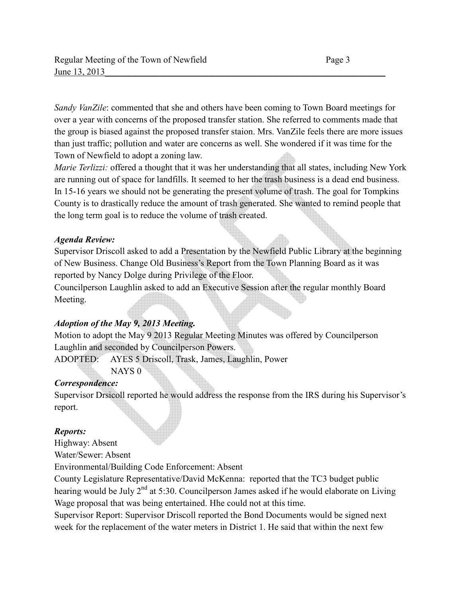*Sandy VanZile*: commented that she and others have been coming to Town Board meetings for over a year with concerns of the proposed transfer station. She referred to comments made that the group is biased against the proposed transfer staion. Mrs. VanZile feels there are more issues than just traffic; pollution and water are concerns as well. She wondered if it was time for the Town of Newfield to adopt a zoning law.

*Marie Terlizzi:* offered a thought that it was her understanding that all states, including New York are running out of space for landfills. It seemed to her the trash business is a dead end business. In 15-16 years we should not be generating the present volume of trash. The goal for Tompkins County is to drastically reduce the amount of trash generated. She wanted to remind people that the long term goal is to reduce the volume of trash created.

## *Agenda Review:*

Supervisor Driscoll asked to add a Presentation by the Newfield Public Library at the beginning of New Business. Change Old Business's Report from the Town Planning Board as it was reported by Nancy Dolge during Privilege of the Floor.

Councilperson Laughlin asked to add an Executive Session after the regular monthly Board Meeting.

## *Adoption of the May 9, 2013 Meeting.*

Motion to adopt the May 9 2013 Regular Meeting Minutes was offered by Councilperson Laughlin and seconded by Councilperson Powers.

ADOPTED: AYES 5 Driscoll, Trask, James, Laughlin, Power

NAYS 0

## *Correspondence:*

Supervisor Drsicoll reported he would address the response from the IRS during his Supervisor's report.

## *Reports:*

Highway: Absent

Water/Sewer: Absent

Environmental/Building Code Enforcement: Absent

County Legislature Representative/David McKenna: reported that the TC3 budget public hearing would be July  $2^{nd}$  at 5:30. Councilperson James asked if he would elaborate on Living Wage proposal that was being entertained. Hhe could not at this time.

Supervisor Report: Supervisor Driscoll reported the Bond Documents would be signed next week for the replacement of the water meters in District 1. He said that within the next few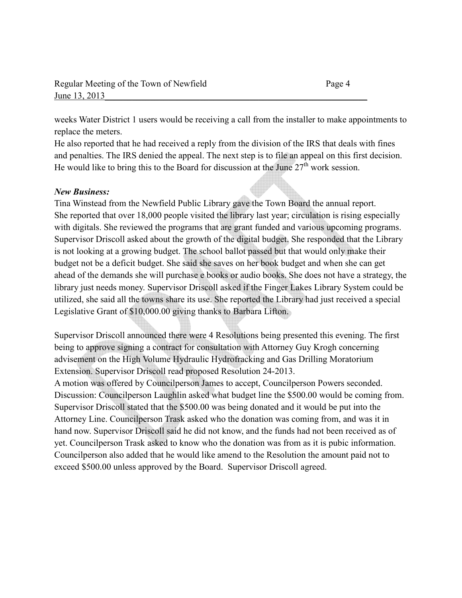weeks Water District 1 users would be receiving a call from the installer to make appointments to replace the meters.

He also reported that he had received a reply from the division of the IRS that deals with fines and penalties. The IRS denied the appeal. The next step is to file an appeal on this first decision. He would like to bring this to the Board for discussion at the June  $27<sup>th</sup>$  work session.

### *New Business:*

Tina Winstead from the Newfield Public Library gave the Town Board the annual report. She reported that over 18,000 people visited the library last year; circulation is rising especially with digitals. She reviewed the programs that are grant funded and various upcoming programs. Supervisor Driscoll asked about the growth of the digital budget. She responded that the Library is not looking at a growing budget. The school ballot passed but that would only make their budget not be a deficit budget. She said she saves on her book budget and when she can get ahead of the demands she will purchase e books or audio books. She does not have a strategy, the library just needs money. Supervisor Driscoll asked if the Finger Lakes Library System could be utilized, she said all the towns share its use. She reported the Library had just received a special Legislative Grant of \$10,000.00 giving thanks to Barbara Lifton.

Supervisor Driscoll announced there were 4 Resolutions being presented this evening. The first being to approve signing a contract for consultation with Attorney Guy Krogh concerning advisement on the High Volume Hydraulic Hydrofracking and Gas Drilling Moratorium Extension. Supervisor Driscoll read proposed Resolution 24-2013.

A motion was offered by Councilperson James to accept, Councilperson Powers seconded. Discussion: Councilperson Laughlin asked what budget line the \$500.00 would be coming from. Supervisor Driscoll stated that the \$500.00 was being donated and it would be put into the Attorney Line. Councilperson Trask asked who the donation was coming from, and was it in hand now. Supervisor Driscoll said he did not know, and the funds had not been received as of yet. Councilperson Trask asked to know who the donation was from as it is pubic information. Councilperson also added that he would like amend to the Resolution the amount paid not to exceed \$500.00 unless approved by the Board. Supervisor Driscoll agreed.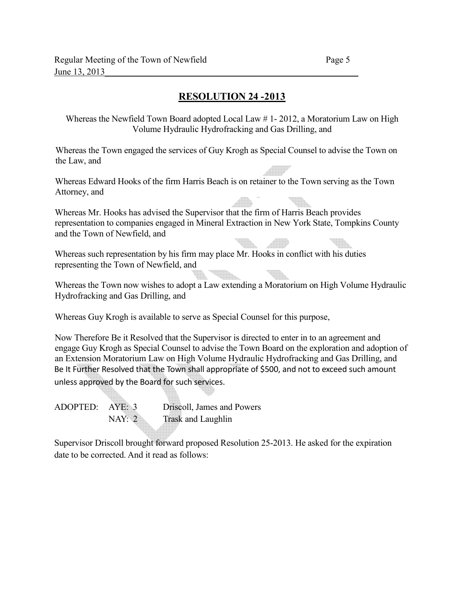# **RESOLUTION 24 -2013**

Whereas the Newfield Town Board adopted Local Law # 1- 2012, a Moratorium Law on High Volume Hydraulic Hydrofracking and Gas Drilling, and

Whereas the Town engaged the services of Guy Krogh as Special Counsel to advise the Town on the Law, and

Whereas Edward Hooks of the firm Harris Beach is on retainer to the Town serving as the Town Attorney, and

Whereas Mr. Hooks has advised the Supervisor that the firm of Harris Beach provides representation to companies engaged in Mineral Extraction in New York State, Tompkins County and the Town of Newfield, and

Whereas such representation by his firm may place Mr. Hooks in conflict with his duties representing the Town of Newfield, and

Whereas the Town now wishes to adopt a Law extending a Moratorium on High Volume Hydraulic Hydrofracking and Gas Drilling, and

Whereas Guy Krogh is available to serve as Special Counsel for this purpose,

Now Therefore Be it Resolved that the Supervisor is directed to enter in to an agreement and engage Guy Krogh as Special Counsel to advise the Town Board on the exploration and adoption of an Extension Moratorium Law on High Volume Hydraulic Hydrofracking and Gas Drilling, and Be It Further Resolved that the Town shall appropriate of \$500, and not to exceed such amount unless approved by the Board for such services.

ADOPTED: AYE: 3 Driscoll, James and Powers NAY: 2 Trask and Laughlin

Supervisor Driscoll brought forward proposed Resolution 25-2013. He asked for the expiration date to be corrected. And it read as follows: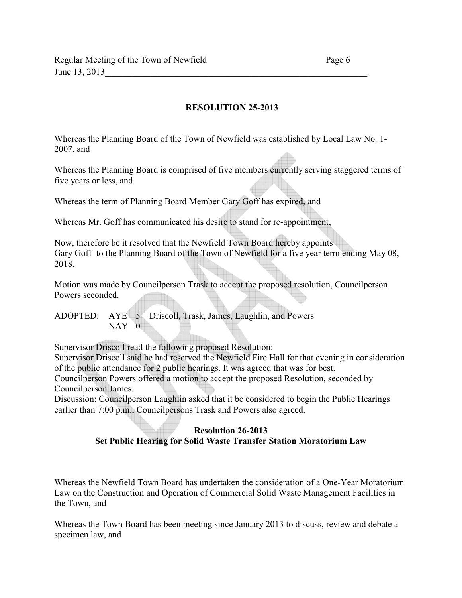### **RESOLUTION 25-2013**

Whereas the Planning Board of the Town of Newfield was established by Local Law No. 1- 2007, and

Whereas the Planning Board is comprised of five members currently serving staggered terms of five years or less, and

Whereas the term of Planning Board Member Gary Goff has expired, and

Whereas Mr. Goff has communicated his desire to stand for re-appointment,

Now, therefore be it resolved that the Newfield Town Board hereby appoints Gary Goff to the Planning Board of the Town of Newfield for a five year term ending May 08, 2018.

Motion was made by Councilperson Trask to accept the proposed resolution, Councilperson Powers seconded.

ADOPTED: AYE 5 Driscoll, Trask, James, Laughlin, and Powers NAY 0

Supervisor Driscoll read the following proposed Resolution:

Supervisor Driscoll said he had reserved the Newfield Fire Hall for that evening in consideration of the public attendance for 2 public hearings. It was agreed that was for best.

Councilperson Powers offered a motion to accept the proposed Resolution, seconded by Councilperson James.

Discussion: Councilperson Laughlin asked that it be considered to begin the Public Hearings earlier than 7:00 p.m., Councilpersons Trask and Powers also agreed.

### **Resolution 26-2013 Set Public Hearing for Solid Waste Transfer Station Moratorium Law**

Whereas the Newfield Town Board has undertaken the consideration of a One-Year Moratorium Law on the Construction and Operation of Commercial Solid Waste Management Facilities in the Town, and

Whereas the Town Board has been meeting since January 2013 to discuss, review and debate a specimen law, and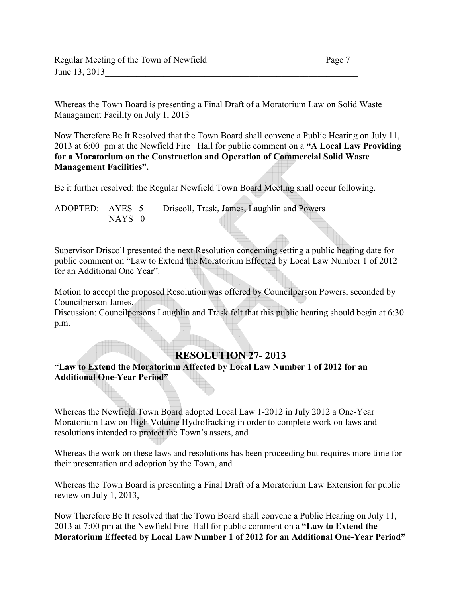Whereas the Town Board is presenting a Final Draft of a Moratorium Law on Solid Waste Managament Facility on July 1, 2013

Now Therefore Be It Resolved that the Town Board shall convene a Public Hearing on July 11, 2013 at 6:00 pm at the Newfield Fire Hall for public comment on a **"A Local Law Providing for a Moratorium on the Construction and Operation of Commercial Solid Waste Management Facilities".** 

 $\triangle$ 

Be it further resolved: the Regular Newfield Town Board Meeting shall occur following.

| ADOPTED: AYES 5 |        | Driscoll, Trask, James, Laughlin and Powers |  |
|-----------------|--------|---------------------------------------------|--|
|                 | NAYS 0 |                                             |  |

Supervisor Driscoll presented the next Resolution concerning setting a public hearing date for public comment on "Law to Extend the Moratorium Effected by Local Law Number 1 of 2012 for an Additional One Year".

Motion to accept the proposed Resolution was offered by Councilperson Powers, seconded by Councilperson James.

Discussion: Councilpersons Laughlin and Trask felt that this public hearing should begin at 6:30 p.m.

## **RESOLUTION 27- 2013**

**"Law to Extend the Moratorium Affected by Local Law Number 1 of 2012 for an Additional One-Year Period"**

Whereas the Newfield Town Board adopted Local Law 1-2012 in July 2012 a One-Year Moratorium Law on High Volume Hydrofracking in order to complete work on laws and resolutions intended to protect the Town's assets, and

Whereas the work on these laws and resolutions has been proceeding but requires more time for their presentation and adoption by the Town, and

Whereas the Town Board is presenting a Final Draft of a Moratorium Law Extension for public review on July 1, 2013,

Now Therefore Be It resolved that the Town Board shall convene a Public Hearing on July 11, 2013 at 7:00 pm at the Newfield Fire Hall for public comment on a **"Law to Extend the Moratorium Effected by Local Law Number 1 of 2012 for an Additional One-Year Period"**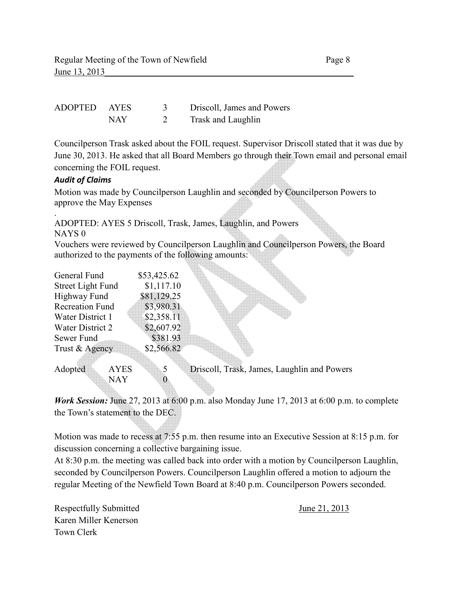| ADOPTED AYES |     | Driscoll, James and Powers |
|--------------|-----|----------------------------|
|              | NAY | Trask and Laughlin         |

Councilperson Trask asked about the FOIL request. Supervisor Driscoll stated that it was due by June 30, 2013. He asked that all Board Members go through their Town email and personal email concerning the FOIL request.

#### *Audit of Claims*

Motion was made by Councilperson Laughlin and seconded by Councilperson Powers to approve the May Expenses

. ADOPTED: AYES 5 Driscoll, Trask, James, Laughlin, and Powers NAYS 0

Vouchers were reviewed by Councilperson Laughlin and Councilperson Powers, the Board authorized to the payments of the following amounts:

| General Fund           | \$53,425.62 |  |
|------------------------|-------------|--|
| Street Light Fund      | \$1,117.10  |  |
| Highway Fund           | \$81,129.25 |  |
| <b>Recreation Fund</b> | \$3,980.31  |  |
| Water District 1       | \$2,358.11  |  |
| Water District 2       | \$2,607.92  |  |
| Sewer Fund             | \$381.93    |  |
| Trust & Agency         | \$2,566.82  |  |
|                        |             |  |

Adopted AYES 5 Driscoll, Trask, James, Laughlin and Powers  $NAY$  0

*Work Session:* June 27, 2013 at 6:00 p.m. also Monday June 17, 2013 at 6:00 p.m. to complete the Town's statement to the DEC.

Motion was made to recess at 7:55 p.m. then resume into an Executive Session at 8:15 p.m. for discussion concerning a collective bargaining issue.

At 8:30 p.m. the meeting was called back into order with a motion by Councilperson Laughlin, seconded by Councilperson Powers. Councilperson Laughlin offered a motion to adjourn the regular Meeting of the Newfield Town Board at 8:40 p.m. Councilperson Powers seconded.

Respectfully Submitted June 21, 2013 Karen Miller Kenerson Town Clerk